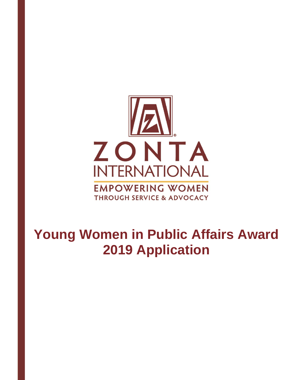

# **Young Women in Public Affairs Award 2019 Application**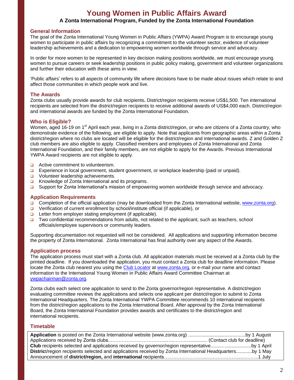### **Young Women in Public Affairs Award A Zonta International Program, Funded by the Zonta International Foundation**

#### **General Information**

The goal of the Zonta International Young Women in Public Affairs (YWPA) Award Program is to encourage young women to participate in public affairs by recognizing a commitment to the volunteer sector, evidence of volunteer leadership achievements and a dedication to empowering women worldwide through service and advocacy.

In order for more women to be represented in key decision making positions worldwide, we must encourage young women to pursue careers or seek leadership positions in public policy making, government and volunteer organizations and further their education with these aims in view.

'Public affairs' refers to all aspects of community life where decisions have to be made about issues which relate to and affect those communities in which people work and live.

#### **The Awards**

Zonta clubs usually provide awards for club recipients**.** District/region recipients receive US\$1,500. Ten international recipients are selected from the district/region recipients to receive additional awards of US\$4,000 each. District/region and international awards are funded by the Zonta International Foundation.

#### **Who is Eligible?**

Women, aged 16-19 on 1<sup>st</sup> April each year, living in a Zonta district/region, or who are citizens of a Zonta country, who demonstrate evidence of the following, are eligible to apply. Note that applicants from geographic areas within a Zonta district/region where no clubs are located will be eligible for the district/region and international awards. Z and Golden Z club members are also eligible to apply. Classified members and employees of Zonta International and Zonta International Foundation, and their family members, are not eligible to apply for the Awards. Previous International YWPA Award recipients are not eligible to apply.

- $\Box$  Active commitment to volunteerism.
- **Experience in local government, student government, or workplace leadership (paid or unpaid).**
- □ Volunteer leadership achievements.
- **EXECUTE:** Knowledge of Zonta International and its programs.
- □ Support for Zonta International's mission of empowering women worldwide through service and advocacy.

#### **Application Requirements**

- □ Completion of the official application (may be downloaded from the Zonta International website, [www.zonta.org\)](http://www.zonta.org/).
- $\Box$  Verification of current enrollment by school/institute official (if applicable), or
- $\Box$  Letter from employer stating employment (if applicable).
- $\Box$  Two confidential recommendations from adults, not related to the applicant, such as teachers, school officials/employee supervisors or community leaders.

Supporting documentation not requested will not be considered. All applications and supporting information become the property of Zonta International. Zonta International has final authority over any aspect of the Awards.

#### **Application process**

The application process must start with a Zonta club. All application materials must be received at a Zonta club by the printed deadline. If you downloaded the application, you must contact a Zonta club for deadline information. Please locate the Zonta club nearest you using the [Club Locator](http://www.zonta.org/site/FrameSet?style=User&url=../cgi-bin/club_search.cgi) at [www.zonta.org,](http://www.zonta.org/) or e-mail your name and contact information to the International Young Women in Public Affairs Award Committee Chairman at [ywpachairman@zonta.org.](mailto:ywpacoordinator@zonta.org)

Zonta clubs each select one application to send to the Zonta governor/region representative. A district/region evaluating committee reviews the applications and selects one applicant per district/region to submit to Zonta International Headquarters. The Zonta International YWPA Committee recommends 10 international recipients from the district/region applications to the Zonta International Board. After approval by the Zonta International Board, the Zonta International Foundation provides awards and certificates to the district/region and international recipients.

#### **Timetable**

| <b>Club</b> recipients selected and applications received by governor/region representativeby 1 April     |  |
|-----------------------------------------------------------------------------------------------------------|--|
| District/region recipients selected and applications received by Zonta International Headquartersby 1 May |  |
|                                                                                                           |  |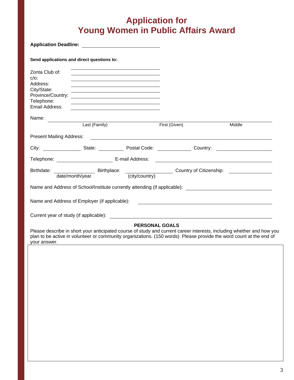## **Application for Young Women in Public Affairs Award**

| Send applications and direct questions to:                                           |                                                                                                                                                                                                                                                                                                                                       |                       |               |                                                                                                                       |
|--------------------------------------------------------------------------------------|---------------------------------------------------------------------------------------------------------------------------------------------------------------------------------------------------------------------------------------------------------------------------------------------------------------------------------------|-----------------------|---------------|-----------------------------------------------------------------------------------------------------------------------|
| Zonta Club of:<br>$C/O$ :<br>Address:<br>City/State:<br>Telephone:<br>Email Address: | <u> 1989 - Johann Stein, marwolaethau a bhann an t-Amhain ann an t-Amhain an t-Amhain an t-Amhain an t-Amhain an </u><br><u> 1989 - Johann Stoff, Amerikaansk politiker (* 1908)</u><br>Province/Country:<br><u> 1989 - Johann Barn, amerikansk politiker (d. 1989)</u><br><u> 1989 - Johann Stoff, amerikansk politiker (* 1908)</u> |                       |               |                                                                                                                       |
| Name:                                                                                |                                                                                                                                                                                                                                                                                                                                       |                       |               |                                                                                                                       |
|                                                                                      | Last (Family)                                                                                                                                                                                                                                                                                                                         |                       | First (Given) | Middle                                                                                                                |
|                                                                                      |                                                                                                                                                                                                                                                                                                                                       |                       |               |                                                                                                                       |
|                                                                                      |                                                                                                                                                                                                                                                                                                                                       |                       |               |                                                                                                                       |
|                                                                                      |                                                                                                                                                                                                                                                                                                                                       |                       |               |                                                                                                                       |
|                                                                                      | date/month/year                                                                                                                                                                                                                                                                                                                       | (city/country)        |               |                                                                                                                       |
|                                                                                      | Name and Address of School/Institute currently attending (if applicable):                                                                                                                                                                                                                                                             |                       |               |                                                                                                                       |
|                                                                                      | Name and Address of Employer (if applicable): [19] Decree and Address of Employer (if applicable):                                                                                                                                                                                                                                    |                       |               |                                                                                                                       |
|                                                                                      |                                                                                                                                                                                                                                                                                                                                       |                       |               |                                                                                                                       |
|                                                                                      |                                                                                                                                                                                                                                                                                                                                       | <b>PERSONAL GOALS</b> |               |                                                                                                                       |
|                                                                                      | plan to be active in volunteer or community organizations. (150 words) Please provide the word count at the end of                                                                                                                                                                                                                    |                       |               | Please describe in short your anticipated course of study and current career interests, including whether and how you |

your answer.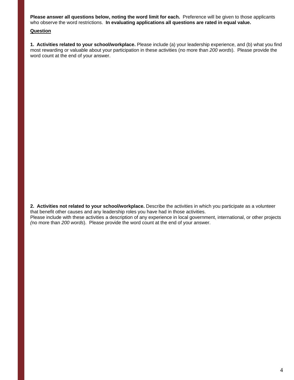**Please answer all questions below, noting the word limit for each.** Preference will be given to those applicants who observe the word restrictions. **In evaluating applications all questions are rated in equal value.**

#### **Question**

**1. Activities related to your school/workplace.** Please include (a) your leadership experience, and (b) what you find most rewarding or valuable about your participation in these activities (no more than *200 words*). Please provide the word count at the end of your answer.

**2. Activities not related to your school/workplace.** Describe the activities in which you participate as a volunteer that benefit other causes and any leadership roles you have had in those activities.

Please include with these activities a description of any experience in local government, international, or other projects *(*no more than *200 words*). Please provide the word count at the end of your answer.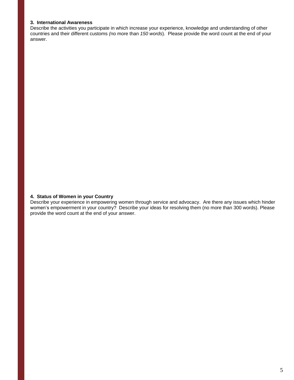#### **3. International Awareness**

Describe the activities you participate in which increase your experience, knowledge and understanding of other countries and their different customs *(*no more than *150 words*). Please provide the word count at the end of your answer.

#### **4. Status of Women in your Country**

Describe your experience in empowering women through service and advocacy. Are there any issues which hinder women's empowerment in your country? Describe your ideas for resolving them (no more than 300 words). Please provide the word count at the end of your answer.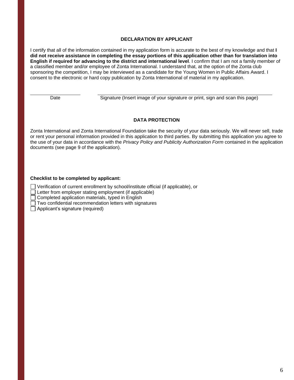#### **DECLARATION BY APPLICANT**

I certify that all of the information contained in my application form is accurate to the best of my knowledge and that **I did not receive assistance in completing the essay portions of this application other than for translation into English if required for advancing to the district and international level**. I confirm that I am not a family member of a classified member and/or employee of Zonta International. I understand that, at the option of the Zonta club sponsoring the competition, I may be interviewed as a candidate for the Young Women in Public Affairs Award. I consent to the electronic or hard copy publication by Zonta International of material in my application.

Date Signature (Insert image of your signature or print, sign and scan this page)

#### **DATA PROTECTION**

Zonta International and Zonta International Foundation take the security of your data seriously. We will never sell, trade or rent your personal information provided in this application to third parties. By submitting this application you agree to the use of your data in accordance with the *Privacy Policy and Publicity Authorization Form* contained in the application documents (see page 9 of the application).

#### **Checklist to be completed by applicant:**

□ Verification of current enrollment by school/institute official (if applicable), or

Letter from employer stating employment (if applicable)

 $\Box$  Completed application materials, typed in English

 $\Box$  Two confidential recommendation letters with signatures

Applicant's signature (required)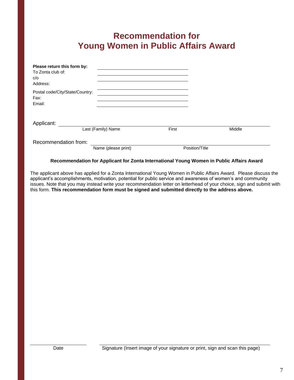### **Recommendation for Young Women in Public Affairs Award**

| Please return this form by:     |                     |                |        |
|---------------------------------|---------------------|----------------|--------|
| To Zonta club of:               |                     |                |        |
| c/o                             |                     |                |        |
| Address:                        |                     |                |        |
| Postal code/City/State/Country: |                     |                |        |
| Fax:                            |                     |                |        |
| Email:                          |                     |                |        |
|                                 |                     |                |        |
| Applicant:                      |                     |                |        |
|                                 | Last (Family) Name  | First          | Middle |
| Recommendation from:            |                     |                |        |
|                                 | Name (please print) | Position/Title |        |

#### **Recommendation for Applicant for Zonta International Young Women in Public Affairs Award**

The applicant above has applied for a Zonta International Young Women in Public Affairs Award. Please discuss the applicant's accomplishments, motivation, potential for public service and awareness of women's and community issues. Note that you may instead write your recommendation letter on letterhead of your choice, sign and submit with this form. **This recommendation form must be signed and submitted directly to the address above.**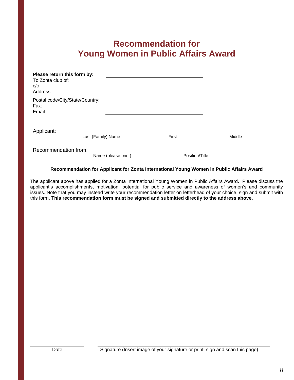### **Recommendation for Young Women in Public Affairs Award**

| Please return this form by:<br>To Zonta club of:<br>c/o<br>Address: |                     |                |        |
|---------------------------------------------------------------------|---------------------|----------------|--------|
| Postal code/City/State/Country:<br>Fax:<br>Email:                   |                     |                |        |
| Applicant:                                                          | Last (Family) Name  | First          | Middle |
| Recommendation from:                                                | Name (please print) | Position/Title |        |

#### **Recommendation for Applicant for Zonta International Young Women in Public Affairs Award**

The applicant above has applied for a Zonta International Young Women in Public Affairs Award. Please discuss the applicant's accomplishments, motivation, potential for public service and awareness of women's and community issues. Note that you may instead write your recommendation letter on letterhead of your choice, sign and submit with this form. **This recommendation form must be signed and submitted directly to the address above.**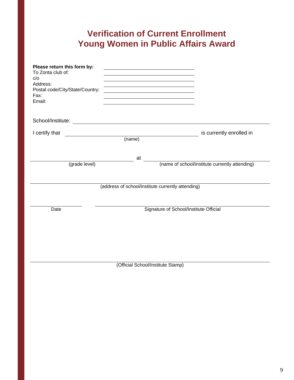# **Verification of Current Enrollment Young Women in Public Affairs Award**

| Please return this form by:<br>To Zonta club of:<br>C/O<br>Address:<br>Postal code/City/State/Country:<br>Fax:<br>Email: | <u> 1989 - Johann Barn, amerikansk politiker (d. 1989)</u> |                                                |
|--------------------------------------------------------------------------------------------------------------------------|------------------------------------------------------------|------------------------------------------------|
|                                                                                                                          |                                                            |                                                |
| I certify that                                                                                                           | (name)                                                     | is currently enrolled in                       |
| (grade level)                                                                                                            | at                                                         | (name of school/institute currently attending) |
|                                                                                                                          | (address of school/institute currently attending)          |                                                |
| Date                                                                                                                     | Signature of School/Institute Official                     |                                                |
|                                                                                                                          | (Official School/Institute Stamp)                          |                                                |